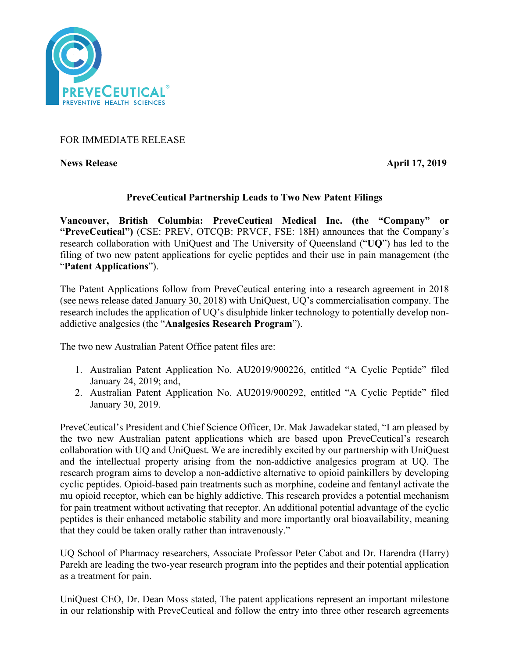

# FOR IMMEDIATE RELEASE

**News Release** April 17, 2019

## **PreveCeutical Partnership Leads to Two New Patent Filings**

**Vancouver, British Columbia: PreveCeutical Medical Inc. (the "Company" or "PreveCeutical")** (CSE: PREV, OTCQB: PRVCF, FSE: 18H) announces that the Company's research collaboration with UniQuest and The University of Queensland ("**UQ**") has led to the filing of two new patent applications for cyclic peptides and their use in pain management (the "**Patent Applications**").

The Patent Applications follow from PreveCeutical entering into a research agreement in 2018 (see news release dated January 30, 2018) with UniQuest, UQ's commercialisation company. The research includes the application of UQ's disulphide linker technology to potentially develop nonaddictive analgesics (the "**Analgesics Research Program**").

The two new Australian Patent Office patent files are:

- 1. Australian Patent Application No. AU2019/900226, entitled "A Cyclic Peptide" filed January 24, 2019; and,
- 2. Australian Patent Application No. AU2019/900292, entitled "A Cyclic Peptide" filed January 30, 2019.

PreveCeutical's President and Chief Science Officer, Dr. Mak Jawadekar stated, "I am pleased by the two new Australian patent applications which are based upon PreveCeutical's research collaboration with UQ and UniQuest. We are incredibly excited by our partnership with UniQuest and the intellectual property arising from the non-addictive analgesics program at UQ. The research program aims to develop a non-addictive alternative to opioid painkillers by developing cyclic peptides. Opioid-based pain treatments such as morphine, codeine and fentanyl activate the mu opioid receptor, which can be highly addictive. This research provides a potential mechanism for pain treatment without activating that receptor. An additional potential advantage of the cyclic peptides is their enhanced metabolic stability and more importantly oral bioavailability, meaning that they could be taken orally rather than intravenously."

UQ School of Pharmacy researchers, Associate Professor Peter Cabot and Dr. Harendra (Harry) Parekh are leading the two-year research program into the peptides and their potential application as a treatment for pain.

UniQuest CEO, Dr. Dean Moss stated, The patent applications represent an important milestone in our relationship with PreveCeutical and follow the entry into three other research agreements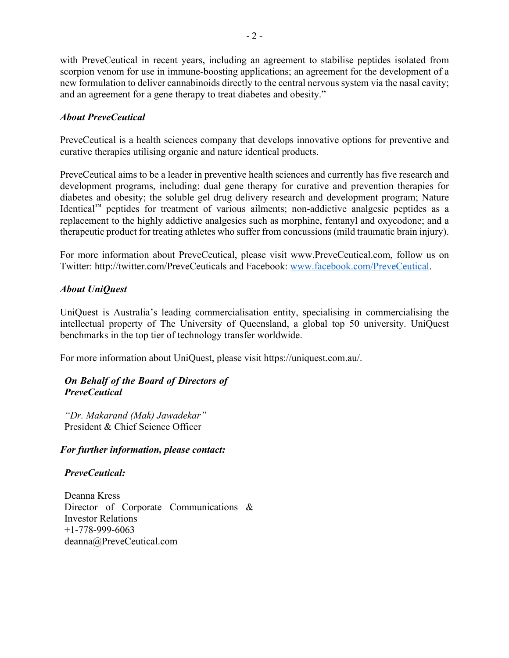with PreveCeutical in recent years, including an agreement to stabilise peptides isolated from scorpion venom for use in immune-boosting applications; an agreement for the development of a new formulation to deliver cannabinoids directly to the central nervous system via the nasal cavity; and an agreement for a gene therapy to treat diabetes and obesity."

# *About PreveCeutical*

PreveCeutical is a health sciences company that develops innovative options for preventive and curative therapies utilising organic and nature identical products.

PreveCeutical aims to be a leader in preventive health sciences and currently has five research and development programs, including: dual gene therapy for curative and prevention therapies for diabetes and obesity; the soluble gel drug delivery research and development program; Nature Identical™ peptides for treatment of various ailments; non-addictive analgesic peptides as a replacement to the highly addictive analgesics such as morphine, fentanyl and oxycodone; and a therapeutic product for treating athletes who suffer from concussions (mild traumatic brain injury).

For more information about PreveCeutical, please visit www.PreveCeutical.com, follow us on Twitter: http://twitter.com/PreveCeuticals and Facebook: www.facebook.com/PreveCeutical.

## *About UniQuest*

UniQuest is Australia's leading commercialisation entity, specialising in commercialising the intellectual property of The University of Queensland, a global top 50 university. UniQuest benchmarks in the top tier of technology transfer worldwide.

For more information about UniQuest, please visit https://uniquest.com.au/.

## *On Behalf of the Board of Directors of PreveCeutical*

*"Dr. Makarand (Mak) Jawadekar"* President & Chief Science Officer

#### *For further information, please contact:*

#### *PreveCeutical:*

Deanna Kress Director of Corporate Communications & Investor Relations +1-778-999-6063 deanna@PreveCeutical.com